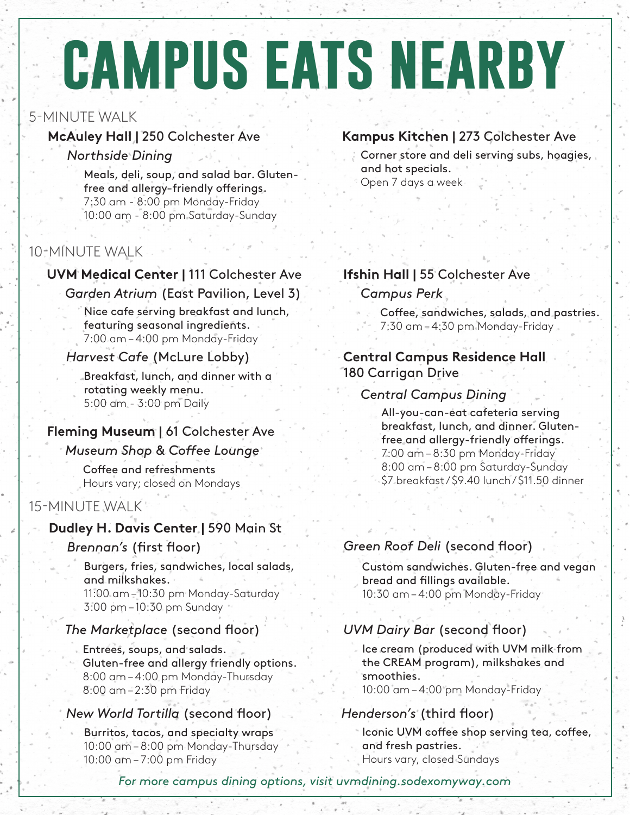# **campus eats nearby**

### 5-MINUTE WALK

### *Northside Dining*

Meals, deli, soup, and salad bar. Glutenfree and allergy-friendly offerings. 7:30 am - 8:00 pm Monday-Friday 10:00 am - 8:00 pm Saturday-Sunday

### 10-MINUTE WALK

### **UVM Medical Center |** 111 Colchester Ave

### *Garden Atrium* (East Pavilion, Level 3)

Nice cafe serving breakfast and lunch, featuring seasonal ingredients. 7:00 am – 4:00 pm Monday-Friday

### *Harvest Cafe* (McLure Lobby)

Breakfast, lunch, and dinner with a rotating weekly menu. 5:00 am - 3:00 pm Daily

### **Fleming Museum |** 61 Colchester Ave

### *Museum Shop & Coffee Lounge*

Coffee and refreshments Hours vary; closed on Mondays

### 15-MINUTE WALK

### **Dudley H. Davis Center |** 590 Main St

### *Brennan's* (first floor)

Burgers, fries, sandwiches, local salads, and milkshakes. 11:00 am – 10:30 pm Monday-Saturday 3:00 pm – 10:30 pm Sunday

### *The Marketplace* (second floor)

Entrees, soups, and salads. Gluten-free and allergy friendly options. 8:00 am – 4:00 pm Monday-Thursday 8:00 am – 2:30 pm Friday

### *New World Tortilla* (second floor)

Burritos, tacos, and specialty wraps 10:00 am – 8:00 pm Monday-Thursday 10:00 am – 7:00 pm Friday

### **McAuley Hall | 250 Colchester Ave Kampus Kitchen | 273 Colchester Ave**

Corner store and deli serving subs, hoagies, and hot specials. Open 7 days a week

### **Ifshin Hall |** 55 Colchester Ave

### *Campus Perk*

Coffee, sandwiches, salads, and pastries. 7:30 am – 4:30 pm Monday-Friday

### **Central Campus Residence Hall** 180 Carrigan Drive

### *Central Campus Dining*

All-you-can-eat cafeteria serving breakfast, lunch, and dinner. Glutenfree and allergy-friendly offerings. 7:00 am – 8:30 pm Monday-Friday 8:00 am – 8:00 pm Saturday-Sunday \$7 breakfast / \$9.40 lunch / \$11.50 dinner

### *Green Roof Deli* (second floor)

Custom sandwiches. Gluten-free and vegan bread and fillings available. 10:30 am – 4:00 pm Monday-Friday

### *UVM Dairy Bar* (second floor)

Ice cream (produced with UVM milk from the CREAM program), milkshakes and smoothies. 10:00 am – 4:00 pm Monday-Friday

### *Henderson's* (third floor)

Iconic UVM coffee shop serving tea, coffee, and fresh pastries. Hours vary, closed Sundays

*For more campus dining options, visit uvmdining.sodexomyway.com*